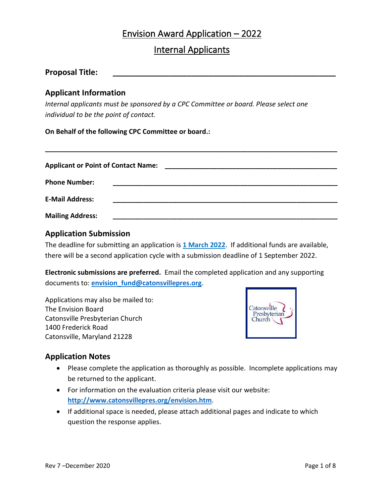# Envision Award Application – 2022

# Internal Applicants

| <b>Proposal Title:</b> |  |
|------------------------|--|
|                        |  |

# **Applicant Information**

*Internal applicants must be sponsored by a CPC Committee or board. Please select one individual to be the point of contact.*

**On Behalf of the following CPC Committee or board.:**

| <b>Applicant or Point of Contact Name:</b> |  |  |  |
|--------------------------------------------|--|--|--|
| <b>Phone Number:</b>                       |  |  |  |
| <b>E-Mail Address:</b>                     |  |  |  |
| <b>Mailing Address:</b>                    |  |  |  |

**\_\_\_\_\_\_\_\_\_\_\_\_\_\_\_\_\_\_\_\_\_\_\_\_\_\_\_\_\_\_\_\_\_\_\_\_\_\_\_\_\_\_\_\_\_\_\_\_\_\_\_\_\_\_\_\_\_\_\_\_\_\_\_\_\_\_\_\_\_\_\_\_\_\_\_\_\_\_**

# **Application Submission**

The deadline for submitting an application is **1 March 2022**. If additional funds are available, there will be a second application cycle with a submission deadline of 1 September 2022.

**Electronic submissions are preferred.** Email the completed application and any supporting documents to: **[envision\\_fund@catonsvillepres.org](mailto:envision_fund@catonsvillepres.org)**.

Applications may also be mailed to: The Envision Board Catonsville Presbyterian Church 1400 Frederick Road Catonsville, Maryland 21228



# **Application Notes**

- Please complete the application as thoroughly as possible. Incomplete applications may be returned to the applicant.
- For information on the evaluation criteria please visit our website: **<http://www.catonsvillepres.org/envision.htm>**.
- If additional space is needed, please attach additional pages and indicate to which question the response applies.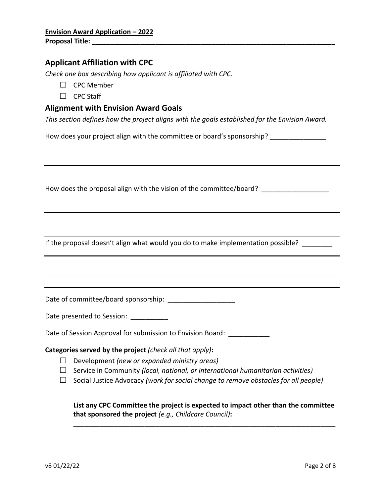## **Applicant Affiliation with CPC**

*Check one box describing how applicant is affiliated with CPC.* 

- ☐ CPC Member
- ☐ CPC Staff

## **Alignment with Envision Award Goals**

*This section defines how the project aligns with the goals established for the Envision Award.*

How does your project align with the committee or board's sponsorship? \_\_\_\_\_\_\_\_\_\_

How does the proposal align with the vision of the committee/board? \_\_\_\_\_\_\_\_\_\_\_\_

If the proposal doesn't align what would you do to make implementation possible?

Date of committee/board sponsorship: \_\_\_\_\_\_\_\_\_\_\_\_\_\_\_\_\_\_

Date presented to Session:

Date of Session Approval for submission to Envision Board: \_\_\_\_\_\_\_\_\_\_\_\_

**Categories served by the project** *(check all that apply)***:**

- ☐ Development *(new or expanded ministry areas)*
- ☐ Service in Community *(local, national, or international humanitarian activities)*
- ☐ Social Justice Advocacy *(work for social change to remove obstacles for all people)*

**List any CPC Committee the project is expected to impact other than the committee that sponsored the project** *(e.g., Childcare Council)***:**

**\_\_\_\_\_\_\_\_\_\_\_\_\_\_\_\_\_\_\_\_\_\_\_\_\_\_\_\_\_\_\_\_\_\_\_\_\_\_\_\_\_\_\_\_\_\_\_\_\_\_\_\_\_\_\_\_\_\_\_\_\_\_\_\_\_\_\_\_\_\_**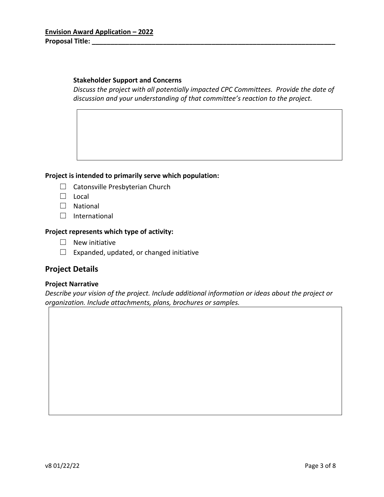### **Stakeholder Support and Concerns**

*Discuss the project with all potentially impacted CPC Committees. Provide the date of discussion and your understanding of that committee's reaction to the project.*

### **Project is intended to primarily serve which population:**

- $\Box$  Catonsville Presbyterian Church
- ☐ Local
- ☐ National
- □ International

### **Project represents which type of activity:**

- $\Box$  New initiative
- $\Box$  Expanded, updated, or changed initiative

### **Project Details**

#### **Project Narrative**

*Describe your vision of the project. Include additional information or ideas about the project or organization. Include attachments, plans, brochures or samples.*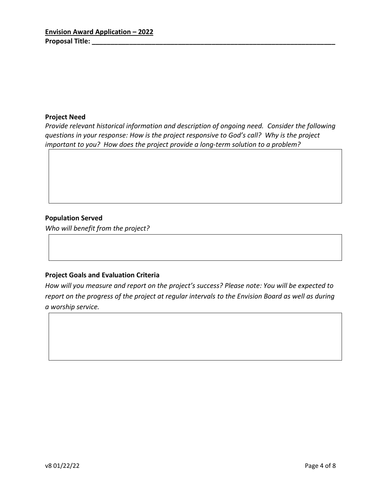#### **Project Need**

*Provide relevant historical information and description of ongoing need. Consider the following questions in your response: How is the project responsive to God's call? Why is the project important to you? How does the project provide a long-term solution to a problem?*

### **Population Served**

*Who will benefit from the project?*

### **Project Goals and Evaluation Criteria**

*How will you measure and report on the project's success? Please note: You will be expected to report on the progress of the project at regular intervals to the Envision Board as well as during a worship service.*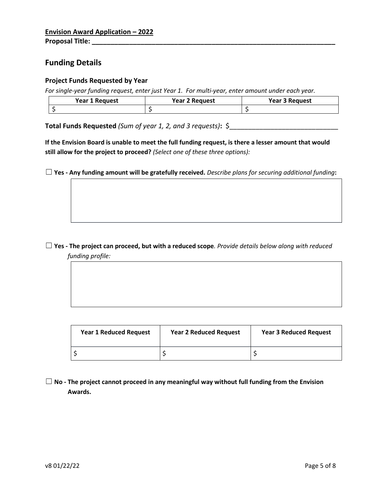# **Funding Details**

#### **Project Funds Requested by Year**

*For single-year funding request, enter just Year 1. For multi-year, enter amount under each year.*

| Year 1 Request | <b>Year 2 Request</b> | <b>Year 3 Request</b> |
|----------------|-----------------------|-----------------------|
|                |                       |                       |

**Total Funds Requested** *(Sum of year 1, 2, and 3 requests)***:** \$\_\_\_\_\_\_\_\_\_\_\_\_\_\_\_\_\_\_\_\_\_\_\_\_\_\_\_\_\_

If the Envision Board is unable to meet the full funding request, is there a lesser amount that would **still allow for the project to proceed?** *(Select one of these three options):*

☐ **Yes - Any funding amount will be gratefully received.** *Describe plans for securing additional funding***:**

## $\Box$  Yes - The project can proceed, but with a reduced scope. Provide details below along with reduced *funding profile:*

| <b>Year 1 Reduced Request</b> | <b>Year 2 Reduced Request</b> | <b>Year 3 Reduced Request</b> |
|-------------------------------|-------------------------------|-------------------------------|
|                               |                               |                               |

☐ **No - The project cannot proceed in any meaningful way without full funding from the Envision Awards.**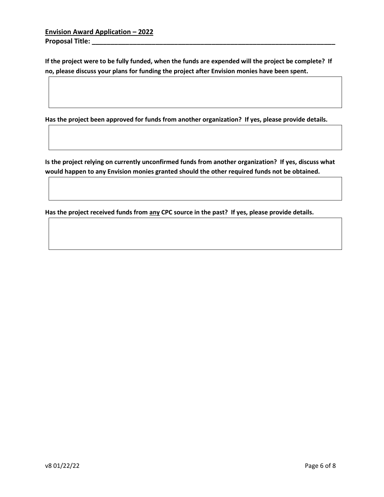**Envision Award Application – 2022 Proposal Title: \_\_\_\_\_\_\_\_\_\_\_\_\_\_\_\_\_\_\_\_\_\_\_\_\_\_\_\_\_\_\_\_\_\_\_\_\_\_\_\_\_\_\_\_\_\_\_\_\_\_\_\_\_\_\_\_\_\_\_\_\_\_\_\_\_**

**If the project were to be fully funded, when the funds are expended will the project be complete? If no, please discuss your plans for funding the project after Envision monies have been spent.**

**Has the project been approved for funds from another organization? If yes, please provide details.**

**Is the project relying on currently unconfirmed funds from another organization? If yes, discuss what would happen to any Envision monies granted should the other required funds not be obtained.**

**Has the project received funds from any CPC source in the past? If yes, please provide details.**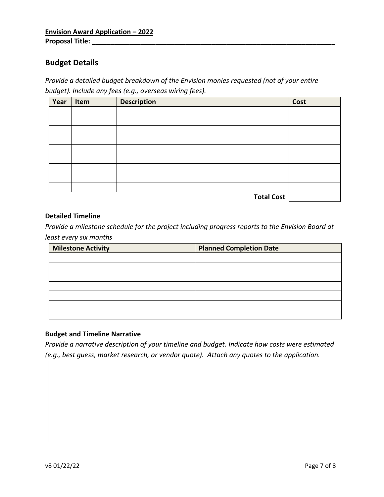# **Budget Details**

*Provide a detailed budget breakdown of the Envision monies requested (not of your entire budget). Include any fees (e.g., overseas wiring fees).*

| Year | Item | <b>Description</b> | Cost |
|------|------|--------------------|------|
|      |      |                    |      |
|      |      |                    |      |
|      |      |                    |      |
|      |      |                    |      |
|      |      |                    |      |
|      |      |                    |      |
|      |      |                    |      |
|      |      |                    |      |
|      |      |                    |      |
|      |      | <b>Total Cost</b>  |      |

#### **Detailed Timeline**

*Provide a milestone schedule for the project including progress reports to the Envision Board at least every six months*

| <b>Milestone Activity</b> | <b>Planned Completion Date</b> |
|---------------------------|--------------------------------|
|                           |                                |
|                           |                                |
|                           |                                |
|                           |                                |
|                           |                                |
|                           |                                |
|                           |                                |

### **Budget and Timeline Narrative**

*Provide a narrative description of your timeline and budget. Indicate how costs were estimated (e.g., best guess, market research, or vendor quote). Attach any quotes to the application.*